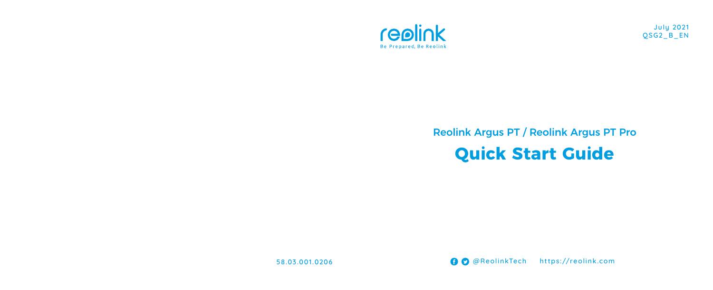

July 2021 QSG2\_B\_EN

# Reolink Argus PT / Reolink Argus PT Pro **Quick Start Guide**

58.03.001.0206 @ReolinkTech https://reolink.com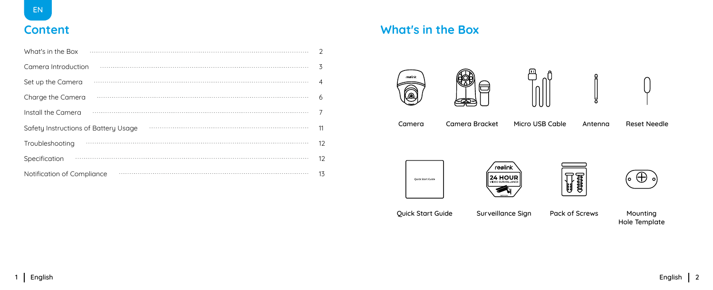## **Content**

| What's in the Box                    | $\mathcal{P}$  |
|--------------------------------------|----------------|
| Camera Introduction                  | 3              |
| Set up the Camera                    | $\overline{A}$ |
| Charge the Camera                    | 6              |
| Install the Camera                   | 7              |
| Safety Instructions of Battery Usage | 11             |
| Troubleshooting                      | 12             |
| Specification                        | 12             |
| Notification of Compliance           | 13             |

## **What's in the Box**

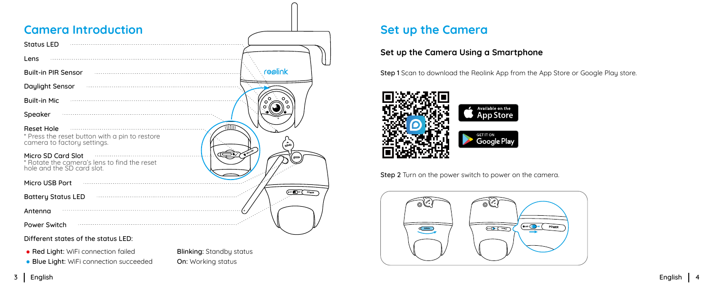## <span id="page-2-0"></span>**Camera Introduction Set up the Camera**

| <b>Status LED</b>                                                                                  |                           |
|----------------------------------------------------------------------------------------------------|---------------------------|
| Lens                                                                                               |                           |
| <b>Built-in PIR Sensor</b>                                                                         | reolink                   |
| Daylight Sensor                                                                                    |                           |
| <b>Built-in Mic</b>                                                                                | റ                         |
| Speaker                                                                                            |                           |
| <b>Reset Hole</b><br>* Press the reset button with a pin to restore<br>camera to factory settings. | ObEW                      |
| Micro SD Card Slot<br>* Rotate the camera's lens to find the reset<br>hole and the SD card slot.   |                           |
| Micro USB Port                                                                                     |                           |
| <b>Battery Status LED</b>                                                                          | $\sum_{i=1}^{n}$<br>POWER |
| Antenna                                                                                            |                           |
| Power Switch                                                                                       |                           |

Different states of the status LED:

• Red Light: WiFi connection failed Blinking: Standby status

• Blue Light: WiFi connection succeeded On: Working status

### **Set up the Camera Using a Smartphone**

Step 1 Scan to download the Reolink App from the App Store or Google Play store.



Step 2 Turn on the power switch to power on the camera.

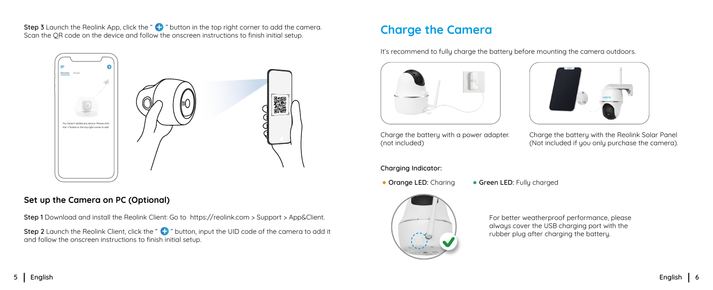<span id="page-3-0"></span>**Charge the Camera** Step 3 Launch the Reolink App, click the "  $\bullet$  " button in the top right corner to add the camera.<br>Considered the Camera Scan the QR code on the device and follow the onscreen instructions to finish initial setup.



#### **Set up the Camera on PC (Optional)**

Step 1 Download and install the Reolink Client: Go to https://reolink.com > Support > App&Client.

Step 2 Launch the Reolink Client, click the " " button, input the UID code of the camera to add it expansion of the camera to add it rubber plug after charging the battery. and follow the onscreen instructions to finish initial setup.

It's recommend to fully charge the battery before mounting the camera outdoors.



Charge the battery with a power adapter. (not included)

Charge the battery with the Reolink Solar Panel

(Not included if you only purchase the camera).

Charging Indicator:

• Orange LED: Charing • Green LED: Fully charged



For better weatherproof performance, please always cover the USB charging port with the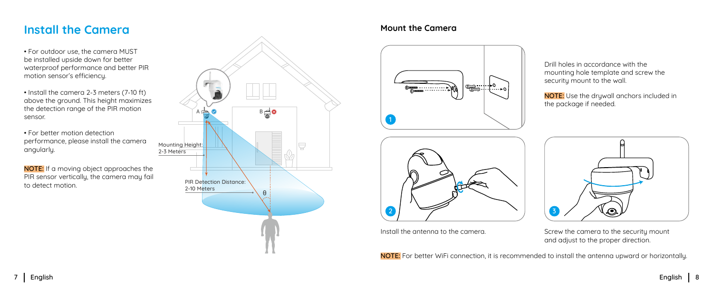## <span id="page-4-0"></span>**Install the Camera**

• For outdoor use, the camera MUST be installed upside down for better waterproof performance and better PIR motion sensor's efficiency.

- Install the camera 2-3 meters (7-10 ft) above the ground. This height maximizes the detection range of the PIR motion sensor.
- For better motion detection performance, please install the camera angularly.

NOTE: If a moving object approaches the PIR sensor vertically, the camera may fail to detect motion.



#### **Mount the Camera**





Drill holes in accordance with the mounting hole template and screw the securitu mount to the wall.

NOTE: Use the drywall anchors included in the package if needed.



Install the antenna to the camera. Screw the camera to the security mount and adjust to the proper direction.

NOTE: For better WiFi connection, it is recommended to install the antenna upward or horizontally.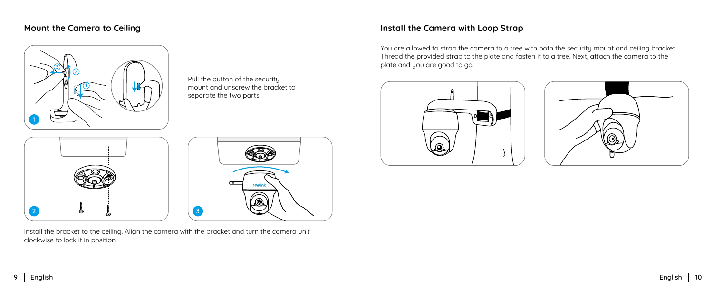

Pull the button of the security mount and unscrew the bracket to separate the two parts.





**<sup>2</sup> <sup>3</sup>** clockwise to lock it in position. Install the bracket to the ceiling. Align the camera with the bracket and turn the camera unit

### **Mount the Camera to Ceiling Install the Camera with Loop Strap**

You are allowed to strap the camera to a tree with both the security mount and ceiling bracket. Thread the provided strap to the plate and fasten it to a tree. Next, attach the camera to the plate and you are good to go.



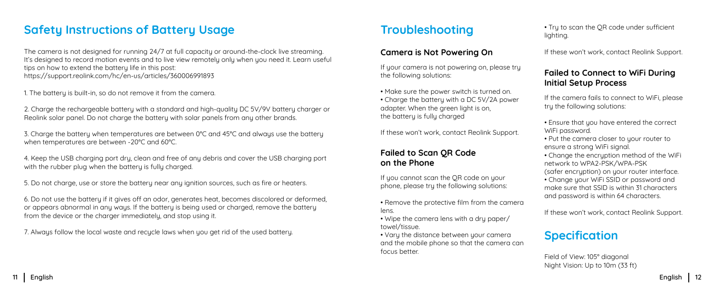## <span id="page-6-0"></span>**Safety Instructions of Battery Usage**

The camera is not designed for running 24/7 at full capacity or around-the-clock live streaming. It's designed to record motion events and to live view remotely only when you need it. Learn useful tips on how to extend the battery life in this post: https://support.reolink.com/hc/en-us/articles/360006991893

1. The battery is built-in, so do not remove it from the camera.

2. Charge the rechargeable battery with a standard and high-quality DC 5V/9V battery charger or Reolink solar panel. Do not charge the battery with solar panels from any other brands.

3. Charge the battery when temperatures are between 0°C and 45°C and always use the battery when temperatures are between -20°C and 60°C.

4. Keep the USB charging port dry, clean and free of any debris and cover the USB charging port with the rubber plug when the battery is fully charged.

5. Do not charge, use or store the battery near any ignition sources, such as fire or heaters.

6. Do not use the battery if it gives off an odor, generates heat, becomes discolored or deformed, or appears abnormal in any ways. If the battery is being used or charged, remove the battery from the device or the charger immediately, and stop using it.

7. Always follow the local waste and recucle laws when you get rid of the used battery.

## **Troubleshooting**

If your camera is not powering on, please try the following solutions:

- Make sure the power switch is turned on. • Charge the battery with a DC 5V/2A power
- adapter. When the green light is on, the battery is fully charged

If these won't work, contact Reolink Support.

### **Failed to Scan QR Code on the Phone**

If you cannot scan the QR code on your phone, please try the following solutions:

- Remove the protective film from the camera lens.
- Wipe the camera lens with a dru paper/ towel/tissue.
- Vary the distance between your camera and the mobile phone so that the camera can focus better.

• Try to scan the QR code under sufficient lighting.

**Camera is Not Powering On If these won't work, contact Reolink Support.** 

### **Failed to Connect to WiFi During Initial Setup Process**

If the camera fails to connect to WiFi, please try the following solutions:

- Ensure that you have entered the correct WiFi password.
- Put the camera closer to your router to ensure a strong WiFi signal.
- Change the encryption method of the WiFi network to WPA2-PSK/WPA-PSK (safer encruption) on your router interface.
- Change your WiFi SSID or password and make sure that SSID is within 31 characters and password is within 64 characters.

If these won't work, contact Reolink Support.

## **Specification**

Field of View: 105° diagonal Night Vision: Up to 10m (33 ft)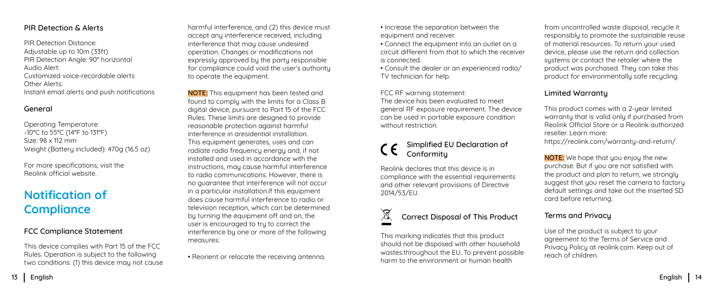<span id="page-7-0"></span>PIR Detection Distance: Adjustable up to 10m (33ft) PIR Detection Angle: 90° horizontal Audio Alert: Customized voice-recordable alerts Other Alerts: Instant email alerts and push notifications

#### General

Operating Temperature: -10°C to 55°C (14°F to 131°F) Size: 98 x 112 mm Weight (Battery included): 470g (16.5 oz)

For more specifications, visit the Reolink official website.

## **Notification of Compliance**

#### FCC Compliance Statement

This device complies with Part 15 of the FCC Rules. Operation is subject to the following two conditions: (1) this device may not cause harmful interference, and (2) this device must accept any interference received, including interference that may cause undesired operation. Changes or modifications not expressly approved by the party responsible for compliance could void the user's authority to operate the equipment.

NOTE: This equipment has been tested and found to comply with the limits for a Class B digital device, pursuant to Part 15 of the FCC Rules. These limits are designed to provide reasonable protection against harmful interference in aresidential installation. This equipment generates, uses and can radiate radio frequency energy and, if not installed and used in accordance with the instructions, may cause harmful interference to radio communications. However, there is no guarantee that interference will not occur in a particular installation.If this equipment does cause harmful interference to radio or television reception, which can be determined by turning the equipment off and on, the user is encouraged to try to correct the interference by one or more of the following measures:

• Reorient or relocate the receiving antenna.

- Increase the separation between the equipment and receiver.
- Connect the equipment into an outlet on a circuit different from that to which the receiver is connected.
- Consult the dealer or an experienced radio/ TV technician for help.

FCC RF warning statement: The device has been evaluated to meet general RF exposure requirement. The device can be used in portable exposure condition without restriction.

#### Simplified EU Declaration of Conformitu

Reolink declares that this device is in compliance with the essential requirements and other relevant provisions of Directive 2014/53/EU.

## Correct Disposal of This Product

This marking indicates that this product should not be disposed with other household wastes.throughout the EU. To prevent possible harm to the environment or human health

from uncontrolled waste disposal, recucle it responsibly to promote the sustainable reuse of material resources. To return your used device, please use the return and collection sustems or contact the retailer where the product was purchased. They can take this product for environmentally safe recucling.

#### Limited Warranty

This product comes with a 2-year limited warranty that is valid only if purchased from Reolink Official Store or a Reolink authorized reseller. Learn more: https://reolink.com/warranty-and-return/.

NOTE: We hope that you enjoy the new purchase. But if you are not satisfied with the product and plan to return, we strongly suggest that you reset the camera to factory default settings and take out the inserted SD card before returning.

#### Terms and Privacy

Use of the product is subject to your agreement to the Terms of Service and Privacy Policy at reolink.com. Keep out of reach of children.